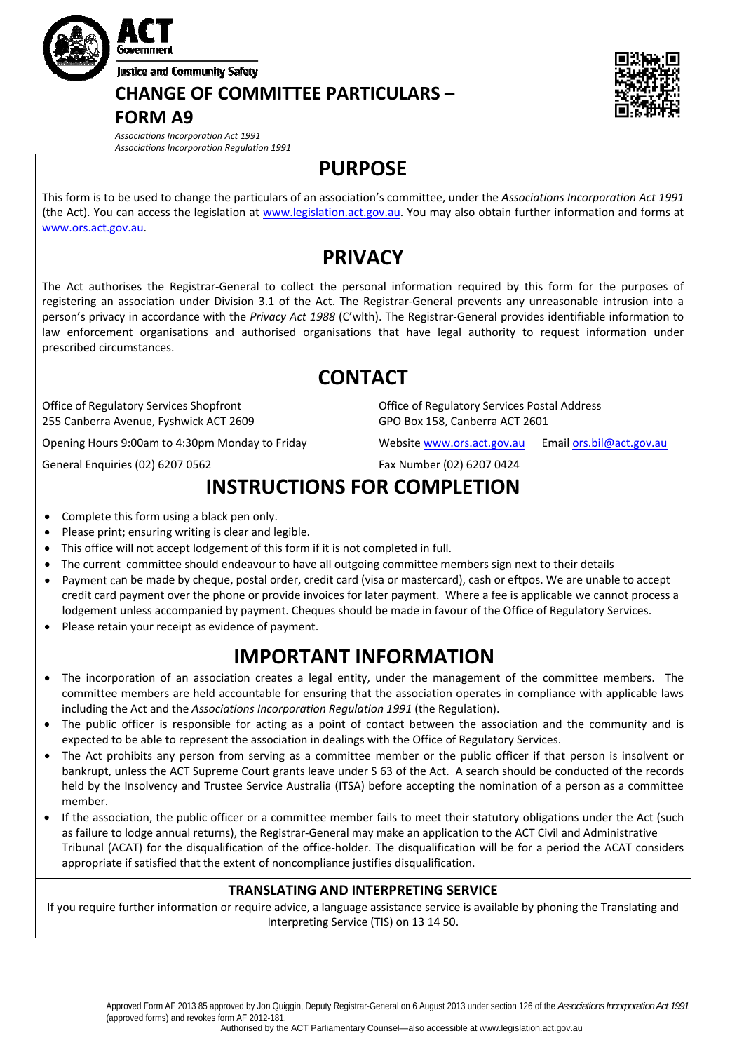

# **CHANGE OF COMMITTEE PARTICULARS –**

### **FORM A9**

*Associations Incorporation Act 1991 Associations Incorporation Regulation 1991*

## **PURPOSE**

This form is to be used to change the particulars of an association's committee, under the *Associations Incorporation Act 1991* (the Act). You can access the legislation at [www.legislation.act.gov.au](http://www.legislation.act.gov.au/). You may also obtain further information and forms at [www.ors.act.gov.au.](http://www.ors.act.gov.au/)

## **PRIVACY**

The Act authorises the Registrar‐General to collect the personal information required by this form for the purposes of registering an association under Division 3.1 of the Act. The Registrar‐General prevents any unreasonable intrusion into a person's privacy in accordance with the *Privacy Act 1988* (C'wlth). The Registrar‐General provides identifiable information to law enforcement organisations and authorised organisations that have legal authority to request information under prescribed circumstances.

### **CONTACT** Office of Regulatory Services Shopfront 255 Canberra Avenue, Fyshwick ACT 2609 Office of Regulatory Services Postal Address GPO Box 158, Canberra ACT 2601 Opening Hours 9:00am to 4:30pm Monday to Friday Website [www.ors.act.gov.au](http://www.ors.act.gov.au/) Email [ors.bil@act.gov.au](mailto:ors.bil@act.gov.au) General Enquiries (02) 6207 0562 Fax Number (02) 6207 0424

# **INSTRUCTIONS FOR COMPLETION**

- Complete this form using a black pen only.
- Please print; ensuring writing is clear and legible.
- This office will not accept lodgement of this form if it is not completed in full.
- The current committee should endeavour to have all outgoing committee members sign next to their details
- Payment can be made by cheque, postal order, credit card (visa or mastercard), cash or eftpos. We are unable to accept credit card payment over the phone or provide invoices for later payment. Where a fee is applicable we cannot process a lodgement unless accompanied by payment. Cheques should be made in favour of the Office of Regulatory Services.
- Please retain your receipt as evidence of payment.

# **IMPORTANT INFORMATION**

- The incorporation of an association creates a legal entity, under the management of the committee members. The committee members are held accountable for ensuring that the association operates in compliance with applicable laws including the Act and the *Associations Incorporation Regulation 1991* (the Regulation).
- The public officer is responsible for acting as a point of contact between the association and the community and is expected to be able to represent the association in dealings with the Office of Regulatory Services.
- The Act prohibits any person from serving as a committee member or the public officer if that person is insolvent or bankrupt, unless the ACT Supreme Court grants leave under S 63 of the Act. A search should be conducted of the records held by the Insolvency and Trustee Service Australia (ITSA) before accepting the nomination of a person as a committee member.
- If the association, the public officer or a committee member fails to meet their statutory obligations under the Act (such as failure to lodge annual returns), the Registrar‐General may make an application to the ACT Civil and Administrative Tribunal (ACAT) for the disqualification of the office‐holder. The disqualification will be for a period the ACAT considers appropriate if satisfied that the extent of noncompliance justifies disqualification.

### **TRANSLATING AND INTERPRETING SERVICE**

If you require further information or require advice, a language assistance service is available by phoning the Translating and Interpreting Service (TIS) on 13 14 50.

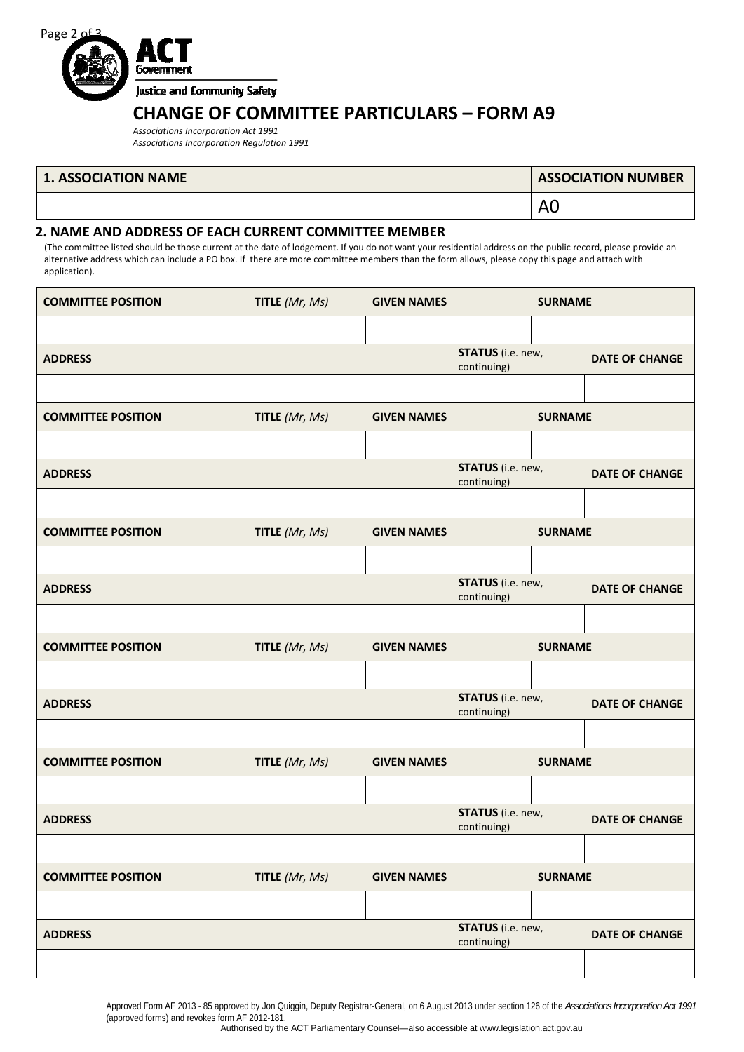

### **CHANGE OF COMMITTEE PARTICULARS – FORM A9**

*Associations Incorporation Act 1991 Associations Incorporation Regulation 1991*

#### **1. ASSOCIATION NAME**

| <b>ASSOCIATION NUMBER</b> |  |
|---------------------------|--|
|---------------------------|--|

A0

### **2. NAME AND ADDRESS OF EACH CURRENT COMMITTEE MEMBER**

(The committee listed should be those current at the date of lodgement. If you do not want your residential address on the public record, please provide an alternative address which can include a PO box. If there are more committee members than the form allows, please copy this page and attach with application).

| <b>COMMITTEE POSITION</b> | TITLE (Mr, Ms) | <b>GIVEN NAMES</b> | <b>SURNAME</b>                          |  |                       |
|---------------------------|----------------|--------------------|-----------------------------------------|--|-----------------------|
|                           |                |                    |                                         |  |                       |
| <b>ADDRESS</b>            |                |                    | <b>STATUS</b> (i.e. new,<br>continuing) |  | <b>DATE OF CHANGE</b> |
|                           |                |                    |                                         |  |                       |
| <b>COMMITTEE POSITION</b> | TITLE (Mr, Ms) | <b>GIVEN NAMES</b> | <b>SURNAME</b>                          |  |                       |
|                           |                |                    |                                         |  |                       |
| <b>ADDRESS</b>            |                |                    | <b>STATUS</b> (i.e. new,<br>continuing) |  | <b>DATE OF CHANGE</b> |
|                           |                |                    |                                         |  |                       |
| <b>COMMITTEE POSITION</b> | TITLE (Mr, Ms) | <b>GIVEN NAMES</b> | <b>SURNAME</b>                          |  |                       |
|                           |                |                    |                                         |  |                       |
| <b>ADDRESS</b>            |                |                    | <b>STATUS</b> (i.e. new,<br>continuing) |  | <b>DATE OF CHANGE</b> |
|                           |                |                    |                                         |  |                       |
| <b>COMMITTEE POSITION</b> | TITLE (Mr, Ms) | <b>GIVEN NAMES</b> | <b>SURNAME</b>                          |  |                       |
|                           |                |                    |                                         |  |                       |
| <b>ADDRESS</b>            |                |                    | STATUS (i.e. new,<br>continuing)        |  | <b>DATE OF CHANGE</b> |
|                           |                |                    |                                         |  |                       |
| <b>COMMITTEE POSITION</b> | TITLE (Mr, Ms) | <b>GIVEN NAMES</b> | <b>SURNAME</b>                          |  |                       |
|                           |                |                    |                                         |  |                       |
| <b>ADDRESS</b>            |                |                    | <b>STATUS</b> (i.e. new,<br>continuing) |  | <b>DATE OF CHANGE</b> |
|                           |                |                    |                                         |  |                       |
| <b>COMMITTEE POSITION</b> | TITLE (Mr, Ms) | <b>GIVEN NAMES</b> | <b>SURNAME</b>                          |  |                       |
|                           |                |                    |                                         |  |                       |
| <b>ADDRESS</b>            |                |                    | <b>STATUS</b> (i.e. new,<br>continuing) |  | <b>DATE OF CHANGE</b> |
|                           |                |                    |                                         |  |                       |

Approved Form AF 2013 - 85 approved by Jon Quiggin, Deputy Registrar-General, on 6 August 2013 under section 126 of the *Associations Incorporation Act 1991*  (approved forms) and revokes form AF 2012-181.